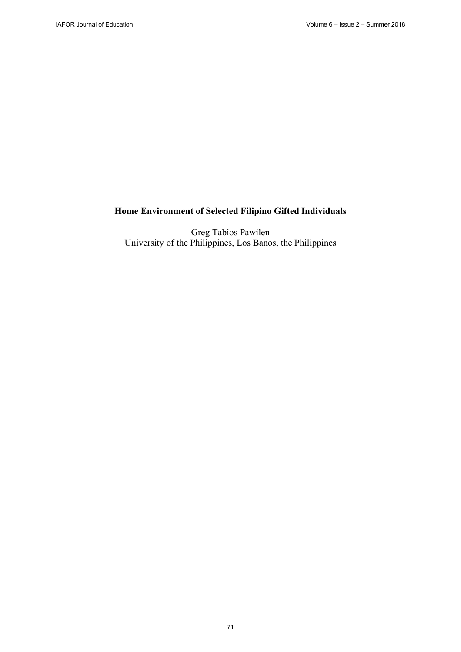# **Home Environment of Selected Filipino Gifted Individuals**

Greg Tabios Pawilen University of the Philippines, Los Banos, the Philippines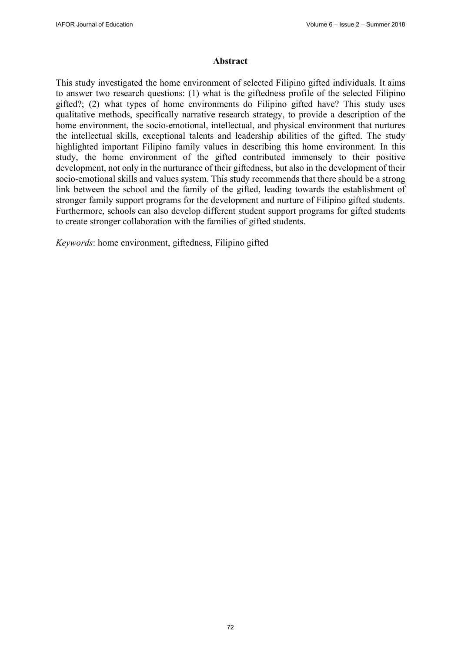#### **Abstract**

This study investigated the home environment of selected Filipino gifted individuals. It aims to answer two research questions: (1) what is the giftedness profile of the selected Filipino gifted?; (2) what types of home environments do Filipino gifted have? This study uses qualitative methods, specifically narrative research strategy, to provide a description of the home environment, the socio-emotional, intellectual, and physical environment that nurtures the intellectual skills, exceptional talents and leadership abilities of the gifted. The study highlighted important Filipino family values in describing this home environment. In this study, the home environment of the gifted contributed immensely to their positive development, not only in the nurturance of their giftedness, but also in the development of their socio-emotional skills and values system. This study recommends that there should be a strong link between the school and the family of the gifted, leading towards the establishment of stronger family support programs for the development and nurture of Filipino gifted students. Furthermore, schools can also develop different student support programs for gifted students to create stronger collaboration with the families of gifted students.

*Keywords*: home environment, giftedness, Filipino gifted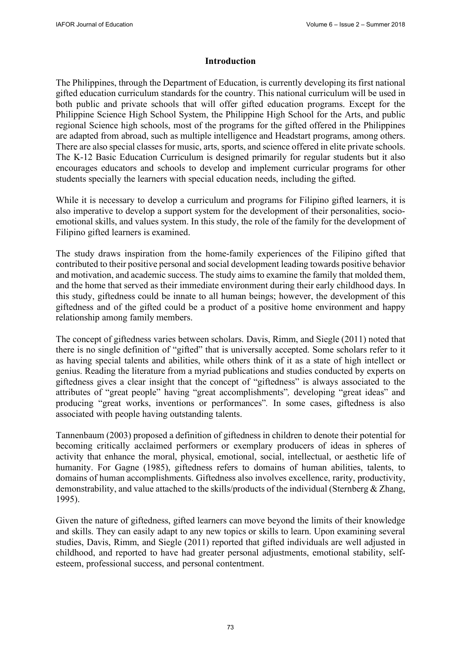#### **Introduction**

The Philippines, through the Department of Education, is currently developing its first national gifted education curriculum standards for the country. This national curriculum will be used in both public and private schools that will offer gifted education programs. Except for the Philippine Science High School System, the Philippine High School for the Arts, and public regional Science high schools, most of the programs for the gifted offered in the Philippines are adapted from abroad, such as multiple intelligence and Headstart programs, among others. There are also special classes for music, arts, sports, and science offered in elite private schools. The K-12 Basic Education Curriculum is designed primarily for regular students but it also encourages educators and schools to develop and implement curricular programs for other students specially the learners with special education needs, including the gifted.

While it is necessary to develop a curriculum and programs for Filipino gifted learners, it is also imperative to develop a support system for the development of their personalities, socioemotional skills, and values system. In this study, the role of the family for the development of Filipino gifted learners is examined.

The study draws inspiration from the home-family experiences of the Filipino gifted that contributed to their positive personal and social development leading towards positive behavior and motivation, and academic success. The study aims to examine the family that molded them, and the home that served as their immediate environment during their early childhood days. In this study, giftedness could be innate to all human beings; however, the development of this giftedness and of the gifted could be a product of a positive home environment and happy relationship among family members.

The concept of giftedness varies between scholars. Davis, Rimm, and Siegle (2011) noted that there is no single definition of "gifted" that is universally accepted. Some scholars refer to it as having special talents and abilities, while others think of it as a state of high intellect or genius. Reading the literature from a myriad publications and studies conducted by experts on giftedness gives a clear insight that the concept of "giftedness" is always associated to the attributes of "great people" having "great accomplishments"*,* developing "great ideas" and producing "great works, inventions or performances"*.* In some cases, giftedness is also associated with people having outstanding talents.

Tannenbaum (2003) proposed a definition of giftedness in children to denote their potential for becoming critically acclaimed performers or exemplary producers of ideas in spheres of activity that enhance the moral, physical, emotional, social, intellectual, or aesthetic life of humanity. For Gagne (1985), giftedness refers to domains of human abilities, talents, to domains of human accomplishments. Giftedness also involves excellence, rarity, productivity, demonstrability, and value attached to the skills/products of the individual (Sternberg  $&$  Zhang, 1995).

Given the nature of giftedness, gifted learners can move beyond the limits of their knowledge and skills. They can easily adapt to any new topics or skills to learn. Upon examining several studies, Davis, Rimm, and Siegle (2011) reported that gifted individuals are well adjusted in childhood, and reported to have had greater personal adjustments, emotional stability, selfesteem, professional success, and personal contentment.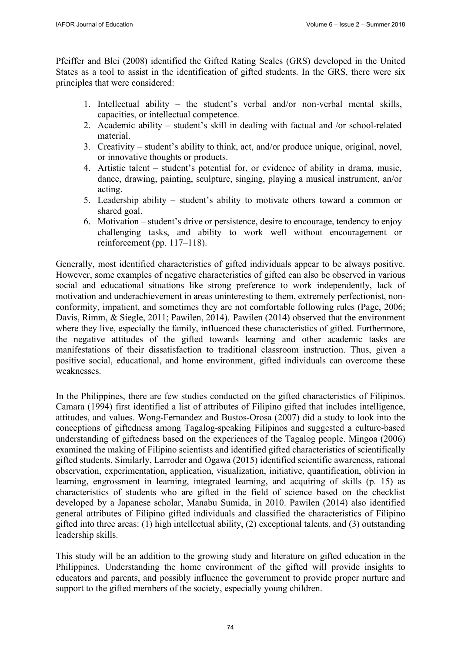Pfeiffer and Blei (2008) identified the Gifted Rating Scales (GRS) developed in the United States as a tool to assist in the identification of gifted students. In the GRS, there were six principles that were considered:

- 1. Intellectual ability the student's verbal and/or non-verbal mental skills, capacities, or intellectual competence.
- 2. Academic ability student's skill in dealing with factual and /or school-related material.
- 3. Creativity student's ability to think, act, and/or produce unique, original, novel, or innovative thoughts or products.
- 4. Artistic talent student's potential for, or evidence of ability in drama, music, dance, drawing, painting, sculpture, singing, playing a musical instrument, an/or acting.
- 5. Leadership ability student's ability to motivate others toward a common or shared goal.
- 6. Motivation student's drive or persistence, desire to encourage, tendency to enjoy challenging tasks, and ability to work well without encouragement or reinforcement (pp. 117–118).

Generally, most identified characteristics of gifted individuals appear to be always positive. However, some examples of negative characteristics of gifted can also be observed in various social and educational situations like strong preference to work independently, lack of motivation and underachievement in areas uninteresting to them, extremely perfectionist, nonconformity, impatient, and sometimes they are not comfortable following rules (Page, 2006; Davis, Rimm, & Siegle, 2011; Pawilen, 2014). Pawilen (2014) observed that the environment where they live, especially the family, influenced these characteristics of gifted. Furthermore, the negative attitudes of the gifted towards learning and other academic tasks are manifestations of their dissatisfaction to traditional classroom instruction. Thus, given a positive social, educational, and home environment, gifted individuals can overcome these weaknesses.

In the Philippines, there are few studies conducted on the gifted characteristics of Filipinos. Camara (1994) first identified a list of attributes of Filipino gifted that includes intelligence, attitudes, and values. Wong-Fernandez and Bustos-Orosa (2007) did a study to look into the conceptions of giftedness among Tagalog-speaking Filipinos and suggested a culture-based understanding of giftedness based on the experiences of the Tagalog people. Mingoa (2006) examined the making of Filipino scientists and identified gifted characteristics of scientifically gifted students. Similarly, Larroder and Ogawa (2015) identified scientific awareness, rational observation, experimentation, application, visualization, initiative, quantification, oblivion in learning, engrossment in learning, integrated learning, and acquiring of skills (p. 15) as characteristics of students who are gifted in the field of science based on the checklist developed by a Japanese scholar, Manabu Sumida, in 2010. Pawilen (2014) also identified general attributes of Filipino gifted individuals and classified the characteristics of Filipino gifted into three areas: (1) high intellectual ability, (2) exceptional talents, and (3) outstanding leadership skills.

This study will be an addition to the growing study and literature on gifted education in the Philippines. Understanding the home environment of the gifted will provide insights to educators and parents, and possibly influence the government to provide proper nurture and support to the gifted members of the society, especially young children.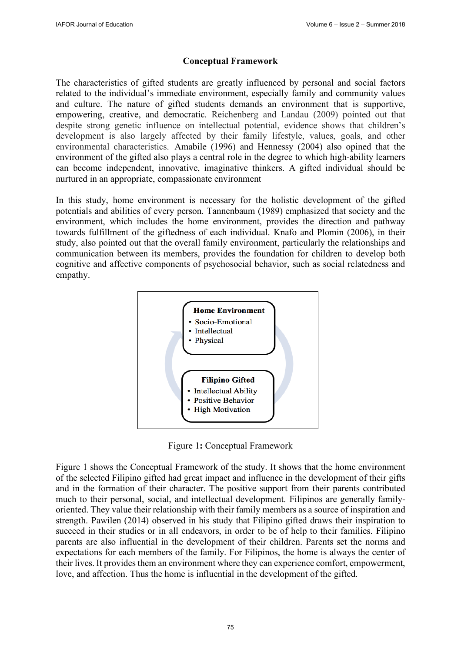# **Conceptual Framework**

The characteristics of gifted students are greatly influenced by personal and social factors related to the individual's immediate environment, especially family and community values and culture. The nature of gifted students demands an environment that is supportive, empowering, creative, and democratic. Reichenberg and Landau (2009) pointed out that despite strong genetic influence on intellectual potential, evidence shows that children's development is also largely affected by their family lifestyle, values, goals, and other environmental characteristics. Amabile (1996) and Hennessy (2004) also opined that the environment of the gifted also plays a central role in the degree to which high-ability learners can become independent, innovative, imaginative thinkers. A gifted individual should be nurtured in an appropriate, compassionate environment

In this study, home environment is necessary for the holistic development of the gifted potentials and abilities of every person. Tannenbaum (1989) emphasized that society and the environment, which includes the home environment, provides the direction and pathway towards fulfillment of the giftedness of each individual. Knafo and Plomin (2006), in their study, also pointed out that the overall family environment, particularly the relationships and communication between its members, provides the foundation for children to develop both cognitive and affective components of psychosocial behavior, such as social relatedness and empathy.



Figure 1**:** Conceptual Framework

Figure 1 shows the Conceptual Framework of the study. It shows that the home environment of the selected Filipino gifted had great impact and influence in the development of their gifts and in the formation of their character. The positive support from their parents contributed much to their personal, social, and intellectual development. Filipinos are generally familyoriented. They value their relationship with their family members as a source of inspiration and strength. Pawilen (2014) observed in his study that Filipino gifted draws their inspiration to succeed in their studies or in all endeavors, in order to be of help to their families. Filipino parents are also influential in the development of their children. Parents set the norms and expectations for each members of the family. For Filipinos, the home is always the center of their lives. It provides them an environment where they can experience comfort, empowerment, love, and affection. Thus the home is influential in the development of the gifted.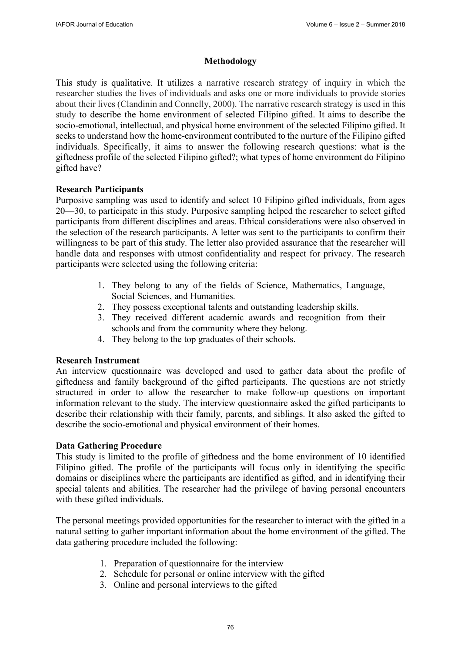#### **Methodology**

This study is qualitative. It utilizes a narrative research strategy of inquiry in which the researcher studies the lives of individuals and asks one or more individuals to provide stories about their lives (Clandinin and Connelly, 2000). The narrative research strategy is used in this study to describe the home environment of selected Filipino gifted. It aims to describe the socio-emotional, intellectual, and physical home environment of the selected Filipino gifted. It seeks to understand how the home-environment contributed to the nurture of the Filipino gifted individuals. Specifically, it aims to answer the following research questions: what is the giftedness profile of the selected Filipino gifted?; what types of home environment do Filipino gifted have?

### **Research Participants**

Purposive sampling was used to identify and select 10 Filipino gifted individuals, from ages 20—30, to participate in this study. Purposive sampling helped the researcher to select gifted participants from different disciplines and areas. Ethical considerations were also observed in the selection of the research participants. A letter was sent to the participants to confirm their willingness to be part of this study. The letter also provided assurance that the researcher will handle data and responses with utmost confidentiality and respect for privacy. The research participants were selected using the following criteria:

- 1. They belong to any of the fields of Science, Mathematics, Language, Social Sciences, and Humanities.
- 2. They possess exceptional talents and outstanding leadership skills.
- 3. They received different academic awards and recognition from their schools and from the community where they belong.
- 4. They belong to the top graduates of their schools.

#### **Research Instrument**

An interview questionnaire was developed and used to gather data about the profile of giftedness and family background of the gifted participants. The questions are not strictly structured in order to allow the researcher to make follow-up questions on important information relevant to the study. The interview questionnaire asked the gifted participants to describe their relationship with their family, parents, and siblings. It also asked the gifted to describe the socio-emotional and physical environment of their homes.

# **Data Gathering Procedure**

This study is limited to the profile of giftedness and the home environment of 10 identified Filipino gifted. The profile of the participants will focus only in identifying the specific domains or disciplines where the participants are identified as gifted, and in identifying their special talents and abilities. The researcher had the privilege of having personal encounters with these gifted individuals.

The personal meetings provided opportunities for the researcher to interact with the gifted in a natural setting to gather important information about the home environment of the gifted. The data gathering procedure included the following:

- 1. Preparation of questionnaire for the interview
- 2. Schedule for personal or online interview with the gifted
- 3. Online and personal interviews to the gifted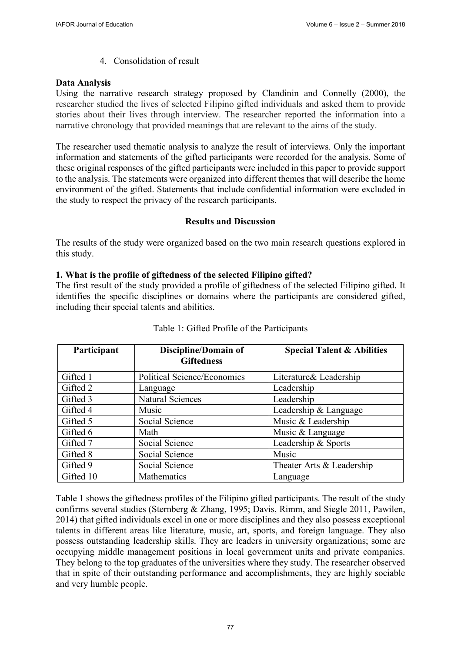4. Consolidation of result

# **Data Analysis**

Using the narrative research strategy proposed by Clandinin and Connelly (2000), the researcher studied the lives of selected Filipino gifted individuals and asked them to provide stories about their lives through interview. The researcher reported the information into a narrative chronology that provided meanings that are relevant to the aims of the study.

The researcher used thematic analysis to analyze the result of interviews. Only the important information and statements of the gifted participants were recorded for the analysis. Some of these original responses of the gifted participants were included in this paper to provide support to the analysis. The statements were organized into different themes that will describe the home environment of the gifted. Statements that include confidential information were excluded in the study to respect the privacy of the research participants.

# **Results and Discussion**

The results of the study were organized based on the two main research questions explored in this study.

# **1. What is the profile of giftedness of the selected Filipino gifted?**

The first result of the study provided a profile of giftedness of the selected Filipino gifted. It identifies the specific disciplines or domains where the participants are considered gifted, including their special talents and abilities.

| Participant | Discipline/Domain of        | <b>Special Talent &amp; Abilities</b> |
|-------------|-----------------------------|---------------------------------------|
|             | <b>Giftedness</b>           |                                       |
| Gifted 1    | Political Science/Economics | Literature & Leadership               |
| Gifted 2    | Language                    | Leadership                            |
| Gifted 3    | Natural Sciences            | Leadership                            |
| Gifted 4    | Music                       | Leadership & Language                 |
| Gifted 5    | Social Science              | Music & Leadership                    |
| Gifted 6    | Math                        | Music & Language                      |
| Gifted 7    | Social Science              | Leadership & Sports                   |
| Gifted 8    | Social Science              | Music                                 |
| Gifted 9    | Social Science              | Theater Arts & Leadership             |
| Gifted 10   | Mathematics                 | Language                              |

Table 1 shows the giftedness profiles of the Filipino gifted participants. The result of the study confirms several studies (Sternberg & Zhang, 1995; Davis, Rimm, and Siegle 2011, Pawilen, 2014) that gifted individuals excel in one or more disciplines and they also possess exceptional talents in different areas like literature, music, art, sports, and foreign language. They also possess outstanding leadership skills. They are leaders in university organizations; some are occupying middle management positions in local government units and private companies. They belong to the top graduates of the universities where they study. The researcher observed that in spite of their outstanding performance and accomplishments, they are highly sociable and very humble people.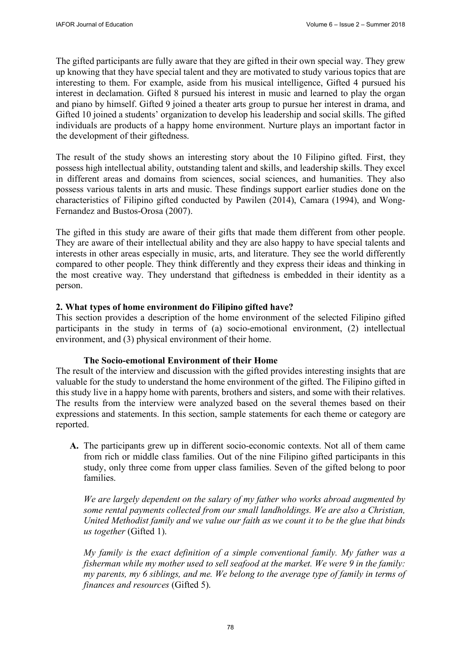The gifted participants are fully aware that they are gifted in their own special way. They grew up knowing that they have special talent and they are motivated to study various topics that are interesting to them. For example, aside from his musical intelligence, Gifted 4 pursued his interest in declamation. Gifted 8 pursued his interest in music and learned to play the organ and piano by himself. Gifted 9 joined a theater arts group to pursue her interest in drama, and Gifted 10 joined a students' organization to develop his leadership and social skills. The gifted individuals are products of a happy home environment. Nurture plays an important factor in the development of their giftedness.

The result of the study shows an interesting story about the 10 Filipino gifted. First, they possess high intellectual ability, outstanding talent and skills, and leadership skills. They excel in different areas and domains from sciences, social sciences, and humanities. They also possess various talents in arts and music. These findings support earlier studies done on the characteristics of Filipino gifted conducted by Pawilen (2014), Camara (1994), and Wong-Fernandez and Bustos-Orosa (2007).

The gifted in this study are aware of their gifts that made them different from other people. They are aware of their intellectual ability and they are also happy to have special talents and interests in other areas especially in music, arts, and literature. They see the world differently compared to other people. They think differently and they express their ideas and thinking in the most creative way. They understand that giftedness is embedded in their identity as a person.

# **2. What types of home environment do Filipino gifted have?**

This section provides a description of the home environment of the selected Filipino gifted participants in the study in terms of (a) socio-emotional environment, (2) intellectual environment, and (3) physical environment of their home.

#### **The Socio-emotional Environment of their Home**

The result of the interview and discussion with the gifted provides interesting insights that are valuable for the study to understand the home environment of the gifted. The Filipino gifted in this study live in a happy home with parents, brothers and sisters, and some with their relatives. The results from the interview were analyzed based on the several themes based on their expressions and statements. In this section, sample statements for each theme or category are reported.

**A.** The participants grew up in different socio-economic contexts. Not all of them came from rich or middle class families. Out of the nine Filipino gifted participants in this study, only three come from upper class families. Seven of the gifted belong to poor families.

*We are largely dependent on the salary of my father who works abroad augmented by some rental payments collected from our small landholdings. We are also a Christian, United Methodist family and we value our faith as we count it to be the glue that binds us together* (Gifted 1).

*My family is the exact definition of a simple conventional family. My father was a fisherman while my mother used to sell seafood at the market. We were 9 in the family: my parents, my 6 siblings, and me. We belong to the average type of family in terms of finances and resources* (Gifted 5).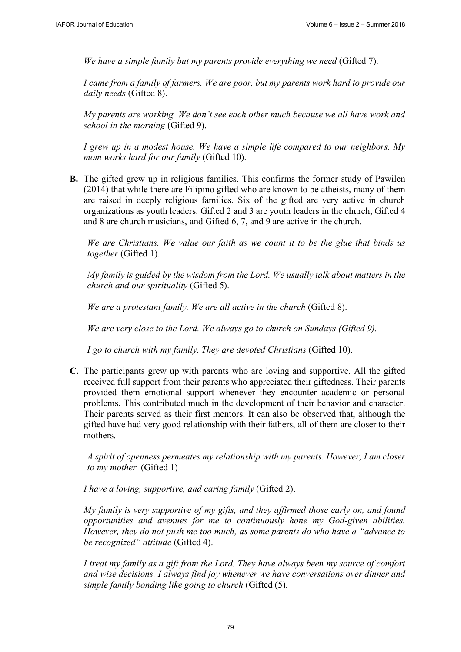*We have a simple family but my parents provide everything we need* (Gifted 7).

*I came from a family of farmers. We are poor, but my parents work hard to provide our daily needs* (Gifted 8).

*My parents are working. We don't see each other much because we all have work and school in the morning* (Gifted 9).

*I grew up in a modest house. We have a simple life compared to our neighbors. My mom works hard for our family* (Gifted 10).

**B.** The gifted grew up in religious families. This confirms the former study of Pawilen (2014) that while there are Filipino gifted who are known to be atheists, many of them are raised in deeply religious families. Six of the gifted are very active in church organizations as youth leaders. Gifted 2 and 3 are youth leaders in the church, Gifted 4 and 8 are church musicians, and Gifted 6, 7, and 9 are active in the church.

*We are Christians. We value our faith as we count it to be the glue that binds us together* (Gifted 1)*.* 

*My family is guided by the wisdom from the Lord. We usually talk about matters in the church and our spirituality* (Gifted 5).

*We are a protestant family. We are all active in the church* (Gifted 8).

*We are very close to the Lord. We always go to church on Sundays (Gifted 9).* 

*I go to church with my family*. *They are devoted Christians* (Gifted 10).

**C.** The participants grew up with parents who are loving and supportive. All the gifted received full support from their parents who appreciated their giftedness. Their parents provided them emotional support whenever they encounter academic or personal problems. This contributed much in the development of their behavior and character. Their parents served as their first mentors. It can also be observed that, although the gifted have had very good relationship with their fathers, all of them are closer to their mothers.

*A spirit of openness permeates my relationship with my parents. However, I am closer to my mother.* (Gifted 1)

*I have a loving, supportive, and caring family* (Gifted 2).

*My family is very supportive of my gifts, and they affirmed those early on, and found opportunities and avenues for me to continuously hone my God-given abilities. However, they do not push me too much, as some parents do who have a "advance to be recognized" attitude* (Gifted 4).

*I treat my family as a gift from the Lord. They have always been my source of comfort and wise decisions. I always find joy whenever we have conversations over dinner and simple family bonding like going to church* (Gifted (5).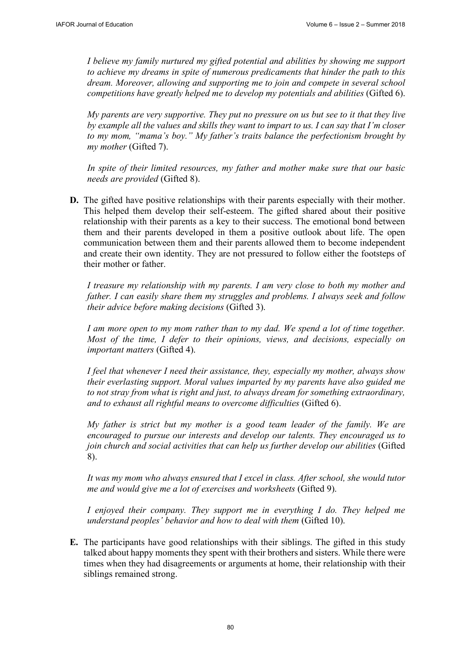*I believe my family nurtured my gifted potential and abilities by showing me support to achieve my dreams in spite of numerous predicaments that hinder the path to this dream. Moreover, allowing and supporting me to join and compete in several school competitions have greatly helped me to develop my potentials and abilities* (Gifted 6).

*My parents are very supportive. They put no pressure on us but see to it that they live by example all the values and skills they want to impart to us. I can say that I'm closer to my mom, "mama's boy." My father's traits balance the perfectionism brought by my mother* (Gifted 7).

*In spite of their limited resources, my father and mother make sure that our basic needs are provided* (Gifted 8).

**D.** The gifted have positive relationships with their parents especially with their mother. This helped them develop their self-esteem. The gifted shared about their positive relationship with their parents as a key to their success. The emotional bond between them and their parents developed in them a positive outlook about life. The open communication between them and their parents allowed them to become independent and create their own identity. They are not pressured to follow either the footsteps of their mother or father.

*I treasure my relationship with my parents. I am very close to both my mother and father. I can easily share them my struggles and problems. I always seek and follow their advice before making decisions* (Gifted 3).

*I am more open to my mom rather than to my dad. We spend a lot of time together. Most of the time, I defer to their opinions, views, and decisions, especially on important matters* (Gifted 4).

*I feel that whenever I need their assistance, they, especially my mother, always show their everlasting support. Moral values imparted by my parents have also guided me to not stray from what is right and just, to always dream for something extraordinary, and to exhaust all rightful means to overcome difficulties* (Gifted 6).

*My father is strict but my mother is a good team leader of the family. We are encouraged to pursue our interests and develop our talents. They encouraged us to join church and social activities that can help us further develop our abilities* (Gifted 8).

*It was my mom who always ensured that I excel in class. After school, she would tutor me and would give me a lot of exercises and worksheets* (Gifted 9).

*I* enjoyed their company. They support me in everything *I* do. They helped me *understand peoples' behavior and how to deal with them* (Gifted 10).

**E.** The participants have good relationships with their siblings. The gifted in this study talked about happy moments they spent with their brothers and sisters. While there were times when they had disagreements or arguments at home, their relationship with their siblings remained strong.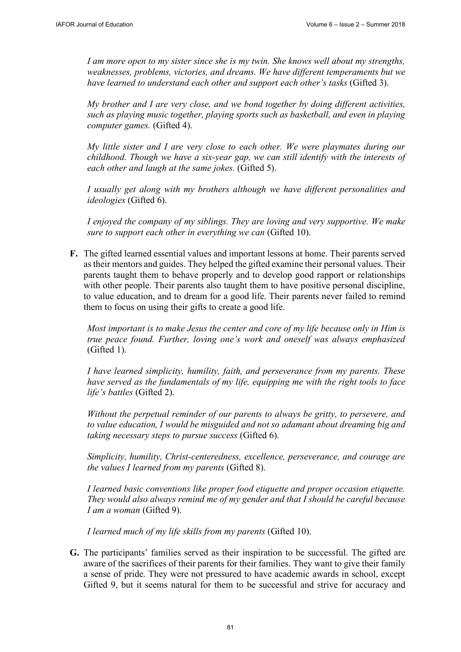*I am more open to my sister since she is my twin. She knows well about my strengths, weaknesses, problems, victories, and dreams. We have different temperaments but we have learned to understand each other and support each other's tasks* (Gifted 3).

*My brother and I are very close, and we bond together by doing different activities, such as playing music together, playing sports such as basketball, and even in playing computer games.* (Gifted 4).

*My little sister and I are very close to each other. We were playmates during our childhood. Though we have a six-year gap, we can still identify with the interests of each other and laugh at the same jokes.* (Gifted 5).

*I usually get along with my brothers although we have different personalities and ideologies* (Gifted 6).

*I enjoyed the company of my siblings. They are loving and very supportive. We make sure to support each other in everything we can (Gifted 10).* 

**F.** The gifted learned essential values and important lessons at home. Their parents served as their mentors and guides. They helped the gifted examine their personal values. Their parents taught them to behave properly and to develop good rapport or relationships with other people. Their parents also taught them to have positive personal discipline, to value education, and to dream for a good life. Their parents never failed to remind them to focus on using their gifts to create a good life.

*Most important is to make Jesus the center and core of my life because only in Him is true peace found. Further, loving one's work and oneself was always emphasized*  (Gifted 1).

*I have learned simplicity, humility, faith, and perseverance from my parents. These have served as the fundamentals of my life, equipping me with the right tools to face life's battles* (Gifted 2).

*Without the perpetual reminder of our parents to always be gritty, to persevere, and to value education, I would be misguided and not so adamant about dreaming big and taking necessary steps to pursue success* (Gifted 6).

*Simplicity, humility, Christ-centeredness, excellence, perseverance, and courage are the values I learned from my parents* (Gifted 8).

*I learned basic conventions like proper food etiquette and proper occasion etiquette. They would also always remind me of my gender and that I should be careful because I am a woman* (Gifted 9).

*I learned much of my life skills from my parents* (Gifted 10).

**G.** The participants' families served as their inspiration to be successful. The gifted are aware of the sacrifices of their parents for their families. They want to give their family a sense of pride. They were not pressured to have academic awards in school, except Gifted 9, but it seems natural for them to be successful and strive for accuracy and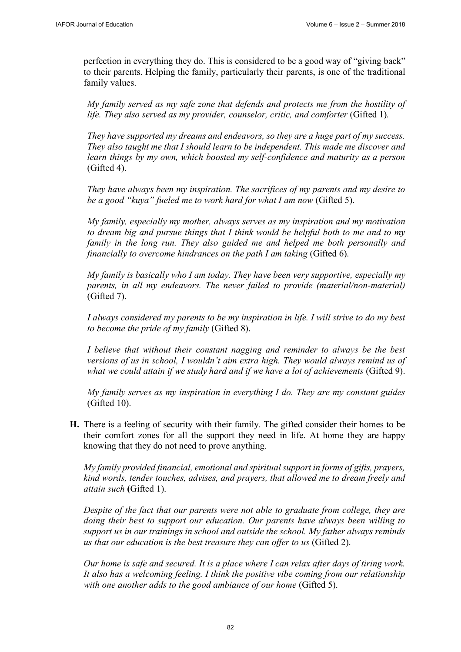perfection in everything they do. This is considered to be a good way of "giving back" to their parents. Helping the family, particularly their parents, is one of the traditional family values.

*My family served as my safe zone that defends and protects me from the hostility of life. They also served as my provider, counselor, critic, and comforter* (Gifted 1)*.* 

*They have supported my dreams and endeavors, so they are a huge part of my success. They also taught me that I should learn to be independent. This made me discover and learn things by my own, which boosted my self-confidence and maturity as a person* (Gifted 4).

*They have always been my inspiration. The sacrifices of my parents and my desire to be a good "kuya" fueled me to work hard for what I am now* (Gifted 5).

*My family, especially my mother, always serves as my inspiration and my motivation to dream big and pursue things that I think would be helpful both to me and to my family in the long run. They also guided me and helped me both personally and financially to overcome hindrances on the path I am taking* (Gifted 6).

*My family is basically who I am today. They have been very supportive, especially my parents, in all my endeavors. The never failed to provide (material/non-material)* (Gifted 7).

*I always considered my parents to be my inspiration in life. I will strive to do my best to become the pride of my family* (Gifted 8).

*I believe that without their constant nagging and reminder to always be the best versions of us in school, I wouldn't aim extra high. They would always remind us of what we could attain if we study hard and if we have a lot of achievements* (Gifted 9).

*My family serves as my inspiration in everything I do. They are my constant guides*  (Gifted 10).

**H.** There is a feeling of security with their family. The gifted consider their homes to be their comfort zones for all the support they need in life. At home they are happy knowing that they do not need to prove anything.

*My family provided financial, emotional and spiritual support in forms of gifts, prayers, kind words, tender touches, advises, and prayers, that allowed me to dream freely and attain such* **(**Gifted 1).

*Despite of the fact that our parents were not able to graduate from college, they are doing their best to support our education. Our parents have always been willing to support us in our trainings in school and outside the school. My father always reminds us that our education is the best treasure they can offer to us* (Gifted 2).

*Our home is safe and secured. It is a place where I can relax after days of tiring work. It also has a welcoming feeling. I think the positive vibe coming from our relationship*  with one another adds to the good ambiance of our home (Gifted 5).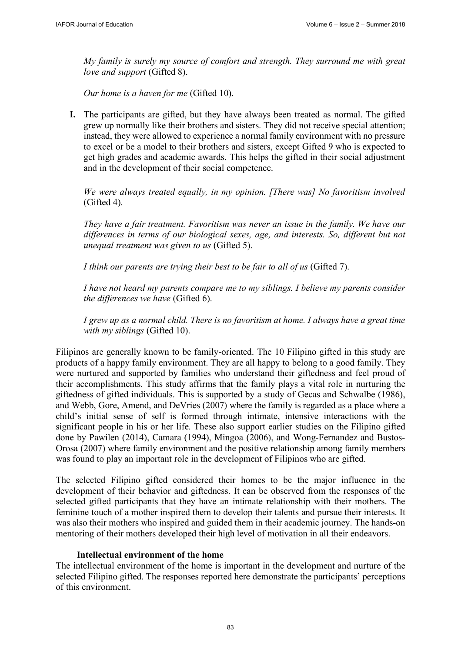*My family is surely my source of comfort and strength. They surround me with great love and support* (Gifted 8).

*Our home is a haven for me* (Gifted 10).

**I.** The participants are gifted, but they have always been treated as normal. The gifted grew up normally like their brothers and sisters. They did not receive special attention; instead, they were allowed to experience a normal family environment with no pressure to excel or be a model to their brothers and sisters, except Gifted 9 who is expected to get high grades and academic awards. This helps the gifted in their social adjustment and in the development of their social competence.

*We were always treated equally, in my opinion. [There was] No favoritism involved* (Gifted 4).

*They have a fair treatment. Favoritism was never an issue in the family. We have our differences in terms of our biological sexes, age, and interests. So, different but not unequal treatment was given to us* (Gifted 5).

*I think our parents are trying their best to be fair to all of us* (Gifted 7).

*I have not heard my parents compare me to my siblings. I believe my parents consider the differences we have* (Gifted 6).

*I grew up as a normal child. There is no favoritism at home. I always have a great time with my siblings* (Gifted 10).

Filipinos are generally known to be family-oriented. The 10 Filipino gifted in this study are products of a happy family environment. They are all happy to belong to a good family. They were nurtured and supported by families who understand their giftedness and feel proud of their accomplishments. This study affirms that the family plays a vital role in nurturing the giftedness of gifted individuals. This is supported by a study of Gecas and Schwalbe (1986), and Webb, Gore, Amend, and DeVries (2007) where the family is regarded as a place where a child's initial sense of self is formed through intimate, intensive interactions with the significant people in his or her life. These also support earlier studies on the Filipino gifted done by Pawilen (2014), Camara (1994), Mingoa (2006), and Wong-Fernandez and Bustos-Orosa (2007) where family environment and the positive relationship among family members was found to play an important role in the development of Filipinos who are gifted.

The selected Filipino gifted considered their homes to be the major influence in the development of their behavior and giftedness. It can be observed from the responses of the selected gifted participants that they have an intimate relationship with their mothers. The feminine touch of a mother inspired them to develop their talents and pursue their interests. It was also their mothers who inspired and guided them in their academic journey. The hands-on mentoring of their mothers developed their high level of motivation in all their endeavors.

#### **Intellectual environment of the home**

The intellectual environment of the home is important in the development and nurture of the selected Filipino gifted. The responses reported here demonstrate the participants' perceptions of this environment.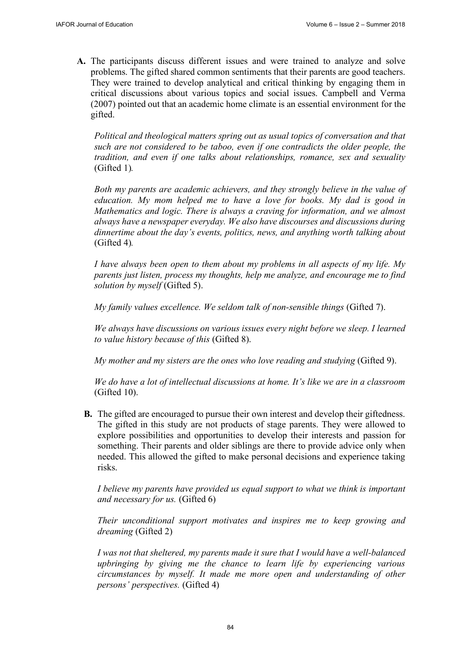**A.** The participants discuss different issues and were trained to analyze and solve problems. The gifted shared common sentiments that their parents are good teachers. They were trained to develop analytical and critical thinking by engaging them in critical discussions about various topics and social issues. Campbell and Verma (2007) pointed out that an academic home climate is an essential environment for the gifted.

*Political and theological matters spring out as usual topics of conversation and that such are not considered to be taboo, even if one contradicts the older people, the tradition, and even if one talks about relationships, romance, sex and sexuality*  (Gifted 1)*.* 

*Both my parents are academic achievers, and they strongly believe in the value of education. My mom helped me to have a love for books. My dad is good in Mathematics and logic. There is always a craving for information, and we almost always have a newspaper everyday. We also have discourses and discussions during dinnertime about the day's events, politics, news, and anything worth talking about* (Gifted 4)*.* 

*I have always been open to them about my problems in all aspects of my life. My parents just listen, process my thoughts, help me analyze, and encourage me to find solution by myself* (Gifted 5).

*My family values excellence. We seldom talk of non-sensible things* (Gifted 7).

*We always have discussions on various issues every night before we sleep. I learned to value history because of this* (Gifted 8).

*My mother and my sisters are the ones who love reading and studying* (Gifted 9).

*We do have a lot of intellectual discussions at home. It's like we are in a classroom* (Gifted 10).

**B.** The gifted are encouraged to pursue their own interest and develop their giftedness. The gifted in this study are not products of stage parents. They were allowed to explore possibilities and opportunities to develop their interests and passion for something. Their parents and older siblings are there to provide advice only when needed. This allowed the gifted to make personal decisions and experience taking risks.

*I believe my parents have provided us equal support to what we think is important and necessary for us.* (Gifted 6)

*Their unconditional support motivates and inspires me to keep growing and dreaming* (Gifted 2)

*I was not that sheltered, my parents made it sure that I would have a well-balanced upbringing by giving me the chance to learn life by experiencing various circumstances by myself. It made me more open and understanding of other persons' perspectives.* (Gifted 4)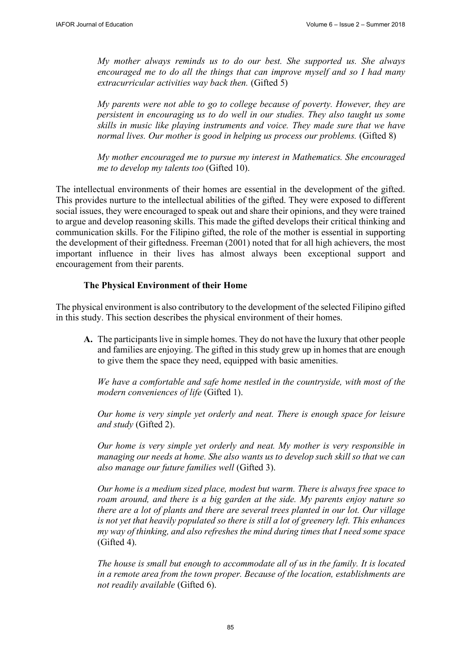*My mother always reminds us to do our best. She supported us. She always encouraged me to do all the things that can improve myself and so I had many extracurricular activities way back then.* (Gifted 5)

*My parents were not able to go to college because of poverty. However, they are persistent in encouraging us to do well in our studies. They also taught us some skills in music like playing instruments and voice. They made sure that we have normal lives. Our mother is good in helping us process our problems.* (Gifted 8)

*My mother encouraged me to pursue my interest in Mathematics. She encouraged me to develop my talents too* (Gifted 10).

The intellectual environments of their homes are essential in the development of the gifted. This provides nurture to the intellectual abilities of the gifted. They were exposed to different social issues, they were encouraged to speak out and share their opinions, and they were trained to argue and develop reasoning skills. This made the gifted develops their critical thinking and communication skills. For the Filipino gifted, the role of the mother is essential in supporting the development of their giftedness. Freeman (2001) noted that for all high achievers, the most important influence in their lives has almost always been exceptional support and encouragement from their parents.

### **The Physical Environment of their Home**

The physical environment is also contributory to the development of the selected Filipino gifted in this study. This section describes the physical environment of their homes.

**A.** The participants live in simple homes. They do not have the luxury that other people and families are enjoying. The gifted in this study grew up in homes that are enough to give them the space they need, equipped with basic amenities.

*We have a comfortable and safe home nestled in the countryside, with most of the modern conveniences of life* (Gifted 1).

*Our home is very simple yet orderly and neat. There is enough space for leisure and study* (Gifted 2).

*Our home is very simple yet orderly and neat. My mother is very responsible in managing our needs at home. She also wants us to develop such skill so that we can also manage our future families well* (Gifted 3).

*Our home is a medium sized place, modest but warm. There is always free space to roam around, and there is a big garden at the side. My parents enjoy nature so there are a lot of plants and there are several trees planted in our lot. Our village is not yet that heavily populated so there is still a lot of greenery left. This enhances my way of thinking, and also refreshes the mind during times that I need some space*  (Gifted 4).

*The house is small but enough to accommodate all of us in the family. It is located in a remote area from the town proper. Because of the location, establishments are not readily available* (Gifted 6).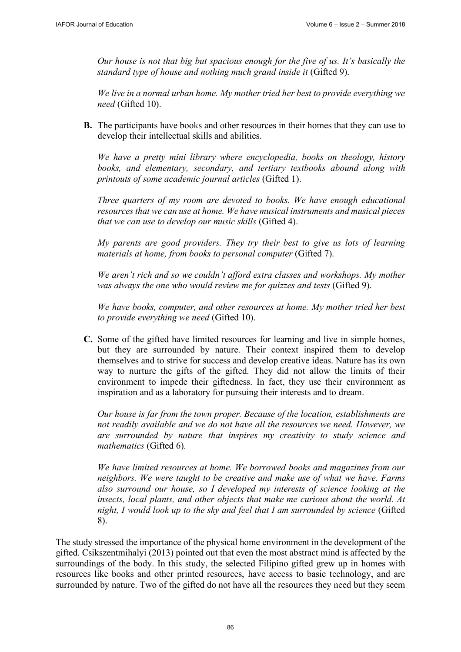*Our house is not that big but spacious enough for the five of us. It's basically the standard type of house and nothing much grand inside it* (Gifted 9).

*We live in a normal urban home. My mother tried her best to provide everything we need* (Gifted 10).

**B.** The participants have books and other resources in their homes that they can use to develop their intellectual skills and abilities.

*We have a pretty mini library where encyclopedia, books on theology, history books, and elementary, secondary, and tertiary textbooks abound along with printouts of some academic journal articles* (Gifted 1).

*Three quarters of my room are devoted to books. We have enough educational resources that we can use at home. We have musical instruments and musical pieces that we can use to develop our music skills* (Gifted 4).

*My parents are good providers. They try their best to give us lots of learning materials at home, from books to personal computer* (Gifted 7).

*We aren't rich and so we couldn't afford extra classes and workshops. My mother was always the one who would review me for quizzes and tests* (Gifted 9).

*We have books, computer, and other resources at home. My mother tried her best to provide everything we need* (Gifted 10).

**C.** Some of the gifted have limited resources for learning and live in simple homes, but they are surrounded by nature. Their context inspired them to develop themselves and to strive for success and develop creative ideas. Nature has its own way to nurture the gifts of the gifted. They did not allow the limits of their environment to impede their giftedness. In fact, they use their environment as inspiration and as a laboratory for pursuing their interests and to dream.

*Our house is far from the town proper. Because of the location, establishments are not readily available and we do not have all the resources we need. However, we are surrounded by nature that inspires my creativity to study science and mathematics* (Gifted 6).

*We have limited resources at home. We borrowed books and magazines from our neighbors. We were taught to be creative and make use of what we have. Farms also surround our house, so I developed my interests of science looking at the insects, local plants, and other objects that make me curious about the world. At night, I would look up to the sky and feel that I am surrounded by science* (Gifted 8).

The study stressed the importance of the physical home environment in the development of the gifted. Csikszentmihalyi (2013) pointed out that even the most abstract mind is affected by the surroundings of the body. In this study, the selected Filipino gifted grew up in homes with resources like books and other printed resources, have access to basic technology, and are surrounded by nature. Two of the gifted do not have all the resources they need but they seem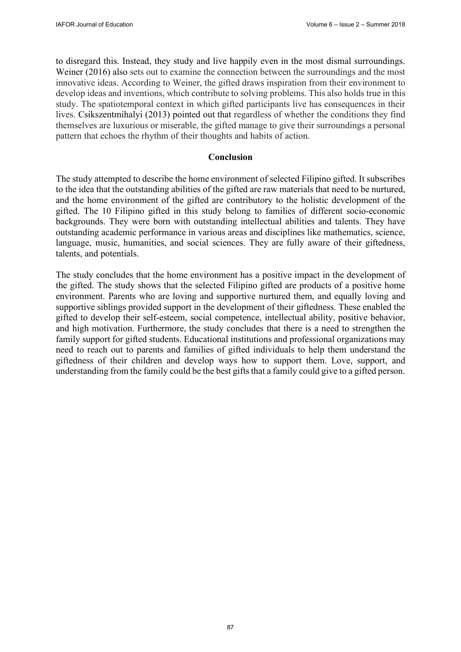to disregard this. Instead, they study and live happily even in the most dismal surroundings. Weiner (2016) also sets out to examine the connection between the surroundings and the most innovative ideas. According to Weiner, the gifted draws inspiration from their environment to develop ideas and inventions, which contribute to solving problems. This also holds true in this study. The spatiotemporal context in which gifted participants live has consequences in their lives. Csikszentmihalyi (2013) pointed out that regardless of whether the conditions they find themselves are luxurious or miserable, the gifted manage to give their surroundings a personal pattern that echoes the rhythm of their thoughts and habits of action.

### **Conclusion**

The study attempted to describe the home environment of selected Filipino gifted. It subscribes to the idea that the outstanding abilities of the gifted are raw materials that need to be nurtured, and the home environment of the gifted are contributory to the holistic development of the gifted. The 10 Filipino gifted in this study belong to families of different socio-economic backgrounds. They were born with outstanding intellectual abilities and talents. They have outstanding academic performance in various areas and disciplines like mathematics, science, language, music, humanities, and social sciences. They are fully aware of their giftedness, talents, and potentials.

The study concludes that the home environment has a positive impact in the development of the gifted. The study shows that the selected Filipino gifted are products of a positive home environment. Parents who are loving and supportive nurtured them, and equally loving and supportive siblings provided support in the development of their giftedness. These enabled the gifted to develop their self-esteem, social competence, intellectual ability, positive behavior, and high motivation. Furthermore, the study concludes that there is a need to strengthen the family support for gifted students. Educational institutions and professional organizations may need to reach out to parents and families of gifted individuals to help them understand the giftedness of their children and develop ways how to support them. Love, support, and understanding from the family could be the best gifts that a family could give to a gifted person.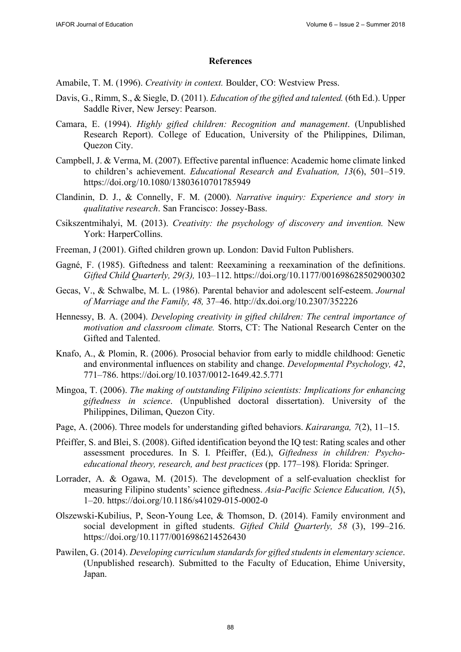#### **References**

Amabile, T. M. (1996). *Creativity in context.* Boulder, CO: Westview Press.

- Davis, G., Rimm, S., & Siegle, D. (2011). *Education of the gifted and talented.* (6th Ed.). Upper Saddle River, New Jersey: Pearson.
- Camara, E. (1994). *Highly gifted children: Recognition and management*. (Unpublished Research Report). College of Education, University of the Philippines, Diliman, Quezon City.
- Campbell, J. & Verma, M. (2007). Effective parental influence: Academic home climate linked to children's achievement. *Educational Research and Evaluation, 13*(6), 501–519. <https://doi.org/10.1080/13803610701785949>
- Clandinin, D. J., & Connelly, F. M. (2000). *Narrative inquiry: Experience and story in qualitative research*. San Francisco: Jossey-Bass.
- Csikszentmihalyi, M. (2013). *Creativity: the psychology of discovery and invention.* New York: HarperCollins.
- Freeman, J (2001). Gifted children grown up. London: David Fulton Publishers.
- Gagné, F. (1985). Giftedness and talent: Reexamining a reexamination of the definitions. *Gifted Child Quarterly, 29(3),* 103–112.<https://doi.org/10.1177/001698628502900302>
- Gecas, V., & Schwalbe, M. L. (1986). Parental behavior and adolescent self-esteem. *Journal of Marriage and the Family, 48,* 37–46.<http://dx.doi.org/10.2307/352226>
- Hennessy, B. A. (2004). *Developing creativity in gifted children: The central importance of motivation and classroom climate.* Storrs, CT: The National Research Center on the Gifted and Talented.
- Knafo, A., & Plomin, R. (2006). Prosocial behavior from early to middle childhood: Genetic and environmental influences on stability and change. *Developmental Psychology, 42*, 771–786.<https://doi.org/10.1037/0012-1649.42.5.771>
- Mingoa, T. (2006). *The making of outstanding Filipino scientists: Implications for enhancing giftedness in science*. (Unpublished doctoral dissertation). University of the Philippines, Diliman, Quezon City.
- Page, A. (2006). Three models for understanding gifted behaviors. *Kairaranga, 7*(2), 11–15.
- Pfeiffer, S. and Blei, S. (2008). Gifted identification beyond the IQ test: Rating scales and other assessment procedures. In S. I. Pfeiffer, (Ed.), *Giftedness in children: Psychoeducational theory, research, and best practices* (pp. 177–198)*.* Florida: Springer.
- Lorrader, A. & Ogawa, M. (2015). The development of a self-evaluation checklist for measuring Filipino students' science giftedness. *Asia-Pacific Science Education, 1*(5), 1–20.<https://doi.org/10.1186/s41029-015-0002-0>
- Olszewski-Kubilius, P, Seon-Young Lee, & Thomson, D. (2014). Family environment and social development in gifted students. *Gifted Child Quarterly, 58* (3), 199–216. <https://doi.org/10.1177/0016986214526430>
- Pawilen, G. (2014). *Developing curriculum standards for gifted students in elementary science*. (Unpublished research). Submitted to the Faculty of Education, Ehime University, Japan.